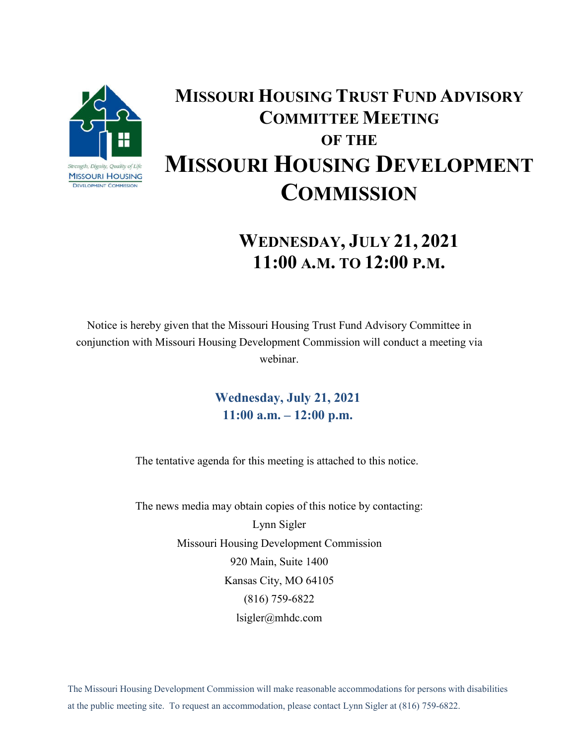

## **MISSOURI HOUSING TRUST FUND ADVISORY COMMITTEE MEETING OF THE MISSOURI HOUSING DEVELOPMENT COMMISSION**

## **WEDNESDAY, JULY 21, 2021 11:00 A.M. TO 12:00 P.M.**

Notice is hereby given that the Missouri Housing Trust Fund Advisory Committee in conjunction with Missouri Housing Development Commission will conduct a meeting via webinar.

> **Wednesday, July 21, 2021 11:00 a.m. – 12:00 p.m.**

The tentative agenda for this meeting is attached to this notice.

The news media may obtain copies of this notice by contacting: Lynn Sigler Missouri Housing Development Commission 920 Main, Suite 1400 Kansas City, MO 64105 (816) 759-6822 lsigler@mhdc.com

The Missouri Housing Development Commission will make reasonable accommodations for persons with disabilities at the public meeting site. To request an accommodation, please contact Lynn Sigler at (816) 759-6822.